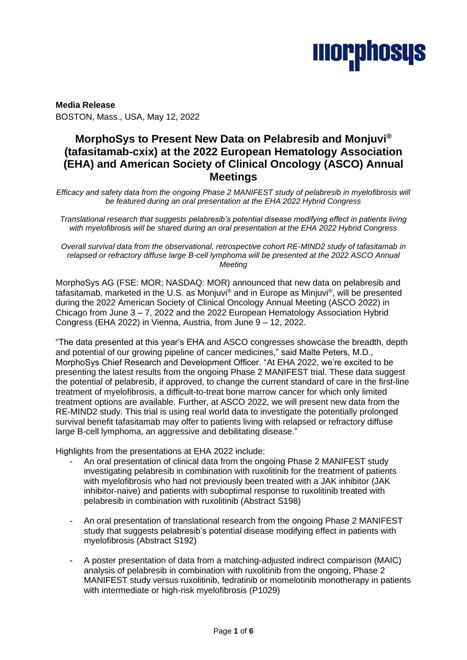

**Media Release** BOSTON, Mass., USA, May 12, 2022

# **MorphoSys to Present New Data on Pelabresib and Monjuvi® (tafasitamab-cxix) at the 2022 European Hematology Association (EHA) and American Society of Clinical Oncology (ASCO) Annual Meetings**

*Efficacy and safety data from the ongoing Phase 2 MANIFEST study of pelabresib in myelofibrosis will be featured during an oral presentation at the EHA 2022 Hybrid Congress*

*Translational research that suggests pelabresib's potential disease modifying effect in patients living with myelofibrosis will be shared during an oral presentation at the EHA 2022 Hybrid Congress*

*Overall survival data from the observational, retrospective cohort RE-MIND2 study of tafasitamab in relapsed or refractory diffuse large B-cell lymphoma will be presented at the 2022 ASCO Annual Meeting*

MorphoSys AG (FSE: MOR; NASDAQ: MOR) announced that new data on pelabresib and tafasitamab, marketed in the U.S. as Monjuvi® and in Europe as Minjuvi®, will be presented during the 2022 American Society of Clinical Oncology Annual Meeting (ASCO 2022) in Chicago from June 3 – 7, 2022 and the 2022 European Hematology Association Hybrid Congress (EHA 2022) in Vienna, Austria, from June 9 – 12, 2022.

"The data presented at this year's EHA and ASCO congresses showcase the breadth, depth and potential of our growing pipeline of cancer medicines," said Malte Peters, M.D., MorphoSys Chief Research and Development Officer. "At EHA 2022, we're excited to be presenting the latest results from the ongoing Phase 2 MANIFEST trial. These data suggest the potential of pelabresib, if approved, to change the current standard of care in the first-line treatment of myelofibrosis, a difficult-to-treat bone marrow cancer for which only limited treatment options are available. Further, at ASCO 2022, we will present new data from the RE-MIND2 study. This trial is using real world data to investigate the potentially prolonged survival benefit tafasitamab may offer to patients living with relapsed or refractory diffuse large B-cell lymphoma, an aggressive and debilitating disease."

Highlights from the presentations at EHA 2022 include:

- An oral presentation of clinical data from the ongoing Phase 2 MANIFEST study investigating pelabresib in combination with ruxolitinib for the treatment of patients with myelofibrosis who had not previously been treated with a JAK inhibitor (JAK inhibitor-naive) and patients with suboptimal response to ruxolitinib treated with pelabresib in combination with ruxolitinib (Abstract S198)
- An oral presentation of translational research from the ongoing Phase 2 MANIFEST study that suggests pelabresib's potential disease modifying effect in patients with myelofibrosis (Abstract S192)
- A poster presentation of data from a matching-adjusted indirect comparison (MAIC) analysis of pelabresib in combination with ruxolitinib from the ongoing, Phase 2 MANIFEST study versus ruxolitinib, fedratinib or momelotinib monotherapy in patients with intermediate or high-risk myelofibrosis (P1029)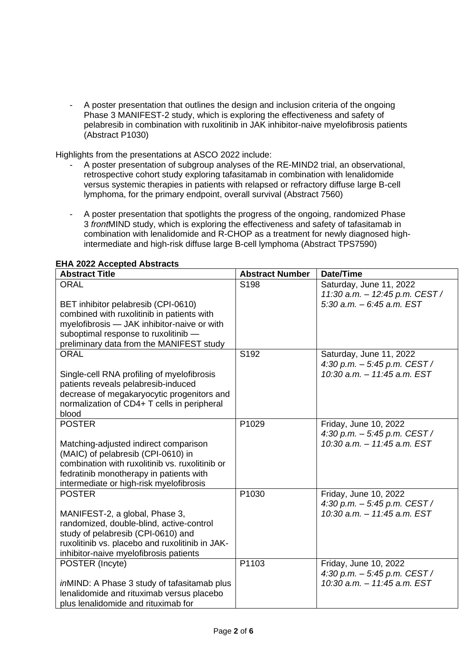A poster presentation that outlines the design and inclusion criteria of the ongoing Phase 3 MANIFEST-2 study, which is exploring the effectiveness and safety of pelabresib in combination with ruxolitinib in JAK inhibitor-naive myelofibrosis patients (Abstract P1030)

Highlights from the presentations at ASCO 2022 include:

- A poster presentation of subgroup analyses of the RE-MIND2 trial, an observational, retrospective cohort study exploring tafasitamab in combination with lenalidomide versus systemic therapies in patients with relapsed or refractory diffuse large B-cell lymphoma, for the primary endpoint, overall survival (Abstract 7560)
- A poster presentation that spotlights the progress of the ongoing, randomized Phase 3 *front*MIND study, which is exploring the effectiveness and safety of tafasitamab in combination with lenalidomide and R-CHOP as a treatment for newly diagnosed highintermediate and high-risk diffuse large B-cell lymphoma (Abstract TPS7590)

| <b>Abstract Number</b> | Date/Time                                                     |
|------------------------|---------------------------------------------------------------|
| S <sub>198</sub>       | Saturday, June 11, 2022                                       |
|                        | 11:30 a.m. - 12:45 p.m. CEST /                                |
|                        | $5:30$ a.m. $-6:45$ a.m. EST                                  |
|                        |                                                               |
|                        |                                                               |
|                        |                                                               |
|                        |                                                               |
|                        | Saturday, June 11, 2022                                       |
|                        | 4:30 p.m. $-$ 5:45 p.m. CEST /<br>10:30 a.m. - 11:45 a.m. EST |
|                        |                                                               |
|                        |                                                               |
|                        |                                                               |
|                        |                                                               |
| P1029                  | Friday, June 10, 2022                                         |
|                        | 4:30 p.m. $-$ 5:45 p.m. CEST /                                |
|                        | 10:30 a.m. - 11:45 a.m. EST                                   |
|                        |                                                               |
|                        |                                                               |
|                        |                                                               |
|                        |                                                               |
|                        | Friday, June 10, 2022                                         |
|                        | 4:30 p.m. $-$ 5:45 p.m. CEST /                                |
|                        | 10:30 a.m. - 11:45 a.m. EST                                   |
|                        |                                                               |
|                        |                                                               |
|                        |                                                               |
|                        | Friday, June 10, 2022                                         |
|                        | 4:30 p.m. $-$ 5:45 p.m. CEST /                                |
|                        | 10:30 a.m. - 11:45 a.m. EST                                   |
|                        |                                                               |
|                        |                                                               |
|                        | S <sub>192</sub><br>P1030<br>P1103                            |

# **EHA 2022 Accepted Abstracts**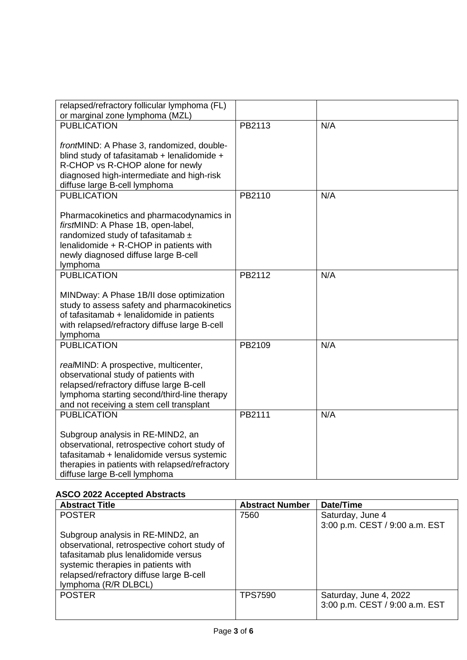| relapsed/refractory follicular lymphoma (FL)                                            |        |     |
|-----------------------------------------------------------------------------------------|--------|-----|
| or marginal zone lymphoma (MZL)                                                         |        |     |
| <b>PUBLICATION</b>                                                                      | PB2113 | N/A |
|                                                                                         |        |     |
| frontMIND: A Phase 3, randomized, double-                                               |        |     |
| blind study of tafasitamab + lenalidomide +                                             |        |     |
| R-CHOP vs R-CHOP alone for newly                                                        |        |     |
| diagnosed high-intermediate and high-risk                                               |        |     |
| diffuse large B-cell lymphoma                                                           |        |     |
| <b>PUBLICATION</b>                                                                      | PB2110 | N/A |
|                                                                                         |        |     |
| Pharmacokinetics and pharmacodynamics in                                                |        |     |
| firstMIND: A Phase 1B, open-label,                                                      |        |     |
| randomized study of tafasitamab ±                                                       |        |     |
| lenalidomide + R-CHOP in patients with                                                  |        |     |
| newly diagnosed diffuse large B-cell                                                    |        |     |
| lymphoma                                                                                |        |     |
| <b>PUBLICATION</b>                                                                      | PB2112 | N/A |
|                                                                                         |        |     |
| MINDway: A Phase 1B/II dose optimization<br>study to assess safety and pharmacokinetics |        |     |
| of tafasitamab + lenalidomide in patients                                               |        |     |
| with relapsed/refractory diffuse large B-cell                                           |        |     |
| lymphoma                                                                                |        |     |
| <b>PUBLICATION</b>                                                                      | PB2109 | N/A |
|                                                                                         |        |     |
| reaMIND: A prospective, multicenter,                                                    |        |     |
| observational study of patients with                                                    |        |     |
| relapsed/refractory diffuse large B-cell                                                |        |     |
| lymphoma starting second/third-line therapy                                             |        |     |
| and not receiving a stem cell transplant                                                |        |     |
| <b>PUBLICATION</b>                                                                      | PB2111 | N/A |
|                                                                                         |        |     |
| Subgroup analysis in RE-MIND2, an                                                       |        |     |
| observational, retrospective cohort study of                                            |        |     |
| tafasitamab + lenalidomide versus systemic                                              |        |     |
| therapies in patients with relapsed/refractory                                          |        |     |
| diffuse large B-cell lymphoma                                                           |        |     |

# **ASCO 2022 Accepted Abstracts**

| <b>Abstract Title</b>                                                           | <b>Abstract Number</b> | Date/Time                      |
|---------------------------------------------------------------------------------|------------------------|--------------------------------|
| <b>POSTER</b>                                                                   | 7560                   | Saturday, June 4               |
|                                                                                 |                        | 3:00 p.m. CEST / 9:00 a.m. EST |
| Subgroup analysis in RE-MIND2, an                                               |                        |                                |
| observational, retrospective cohort study of                                    |                        |                                |
| tafasitamab plus lenalidomide versus                                            |                        |                                |
| systemic therapies in patients with<br>relapsed/refractory diffuse large B-cell |                        |                                |
| lymphoma (R/R DLBCL)                                                            |                        |                                |
| <b>POSTER</b>                                                                   | <b>TPS7590</b>         | Saturday, June 4, 2022         |
|                                                                                 |                        | 3:00 p.m. CEST / 9:00 a.m. EST |
|                                                                                 |                        |                                |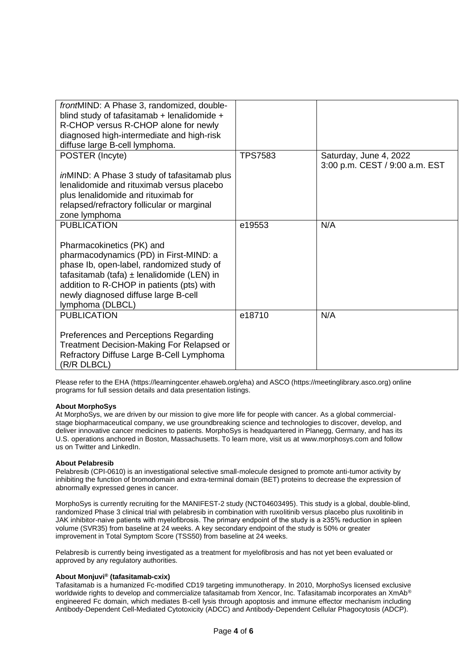| <b>TPS7583</b> | Saturday, June 4, 2022         |
|----------------|--------------------------------|
|                | 3:00 p.m. CEST / 9:00 a.m. EST |
|                |                                |
|                |                                |
|                |                                |
|                |                                |
|                |                                |
| e19553         | N/A                            |
|                |                                |
|                |                                |
|                |                                |
|                |                                |
|                |                                |
|                |                                |
|                |                                |
|                |                                |
| e18710         | N/A                            |
|                |                                |
|                |                                |
|                |                                |
|                |                                |
|                |                                |
|                |                                |

Please refer to the EHA (https://learningcenter.ehaweb.org/eha) and ASCO (https://meetinglibrary.asco.org) online programs for full session details and data presentation listings.

#### **About MorphoSys**

At MorphoSys, we are driven by our mission to give more life for people with cancer. As a global commercialstage biopharmaceutical company, we use groundbreaking science and technologies to discover, develop, and deliver innovative cancer medicines to patients. MorphoSys is headquartered in Planegg, Germany, and has its U.S. operations anchored in Boston, Massachusetts. To learn more, visit us at www.morphosys.com and follow us on Twitter and LinkedIn.

#### **About Pelabresib**

Pelabresib (CPI-0610) is an investigational selective small-molecule designed to promote anti-tumor activity by inhibiting the function of bromodomain and extra-terminal domain (BET) proteins to decrease the expression of abnormally expressed genes in cancer.

MorphoSys is currently recruiting for the MANIFEST-2 study (NCT04603495). This study is a global, double-blind, randomized Phase 3 clinical trial with pelabresib in combination with ruxolitinib versus placebo plus ruxolitinib in JAK inhibitor-naive patients with myelofibrosis. The primary endpoint of the study is a ≥35% reduction in spleen volume (SVR35) from baseline at 24 weeks. A key secondary endpoint of the study is 50% or greater improvement in Total Symptom Score (TSS50) from baseline at 24 weeks.

Pelabresib is currently being investigated as a treatment for myelofibrosis and has not yet been evaluated or approved by any regulatory authorities.

#### **About Monjuvi® (tafasitamab-cxix)**

Tafasitamab is a humanized Fc-modified CD19 targeting immunotherapy. In 2010, MorphoSys licensed exclusive worldwide rights to develop and commercialize tafasitamab from Xencor, Inc. Tafasitamab incorporates an XmAb® engineered Fc domain, which mediates B-cell lysis through apoptosis and immune effector mechanism including Antibody-Dependent Cell-Mediated Cytotoxicity (ADCC) and Antibody-Dependent Cellular Phagocytosis (ADCP).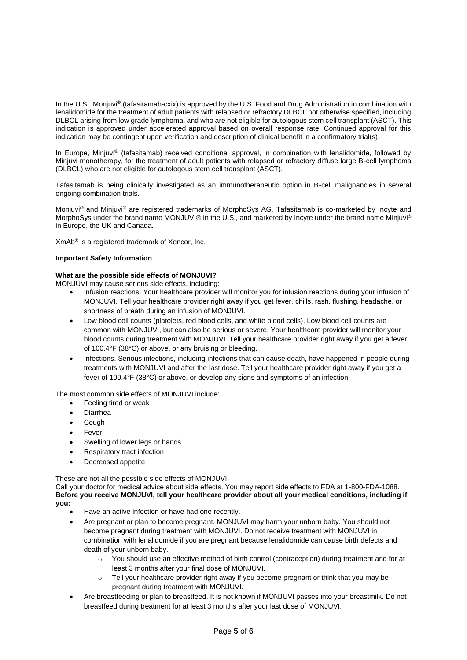In the U.S., Monjuvi**®** (tafasitamab-cxix) is approved by the U.S. Food and Drug Administration in combination with lenalidomide for the treatment of adult patients with relapsed or refractory DLBCL not otherwise specified, including DLBCL arising from low grade lymphoma, and who are not eligible for autologous stem cell transplant (ASCT). This indication is approved under accelerated approval based on overall response rate. Continued approval for this indication may be contingent upon verification and description of clinical benefit in a confirmatory trial(s).

In Europe, Minjuvi**®** (tafasitamab) received conditional approval, in combination with lenalidomide, followed by Minjuvi monotherapy, for the treatment of adult patients with relapsed or refractory diffuse large B-cell lymphoma (DLBCL) who are not eligible for autologous stem cell transplant (ASCT).

Tafasitamab is being clinically investigated as an immunotherapeutic option in B-cell malignancies in several ongoing combination trials.

Monjuvi**®** and Minjuvi**®** are registered trademarks of MorphoSys AG. Tafasitamab is co-marketed by Incyte and MorphoSys under the brand name MONJUVI® in the U.S., and marketed by Incyte under the brand name Minjuvi**®** in Europe, the UK and Canada.

XmAb**®** is a registered trademark of Xencor, Inc.

#### **Important Safety Information**

#### **What are the possible side effects of MONJUVI?**

MONJUVI may cause serious side effects, including:

- Infusion reactions. Your healthcare provider will monitor you for infusion reactions during your infusion of MONJUVI. Tell your healthcare provider right away if you get fever, chills, rash, flushing, headache, or shortness of breath during an infusion of MONJUVI.
- Low blood cell counts (platelets, red blood cells, and white blood cells). Low blood cell counts are common with MONJUVI, but can also be serious or severe. Your healthcare provider will monitor your blood counts during treatment with MONJUVI. Tell your healthcare provider right away if you get a fever of 100.4°F (38°C) or above, or any bruising or bleeding.
- Infections. Serious infections, including infections that can cause death, have happened in people during treatments with MONJUVI and after the last dose. Tell your healthcare provider right away if you get a fever of 100.4°F (38°C) or above, or develop any signs and symptoms of an infection.

The most common side effects of MONJUVI include:

- Feeling tired or weak
- Diarrhea
- Cough
- **Fever**
- Swelling of lower legs or hands
- Respiratory tract infection
- Decreased appetite

These are not all the possible side effects of MONJUVI.

Call your doctor for medical advice about side effects. You may report side effects to FDA at 1-800-FDA-1088. **Before you receive MONJUVI, tell your healthcare provider about all your medical conditions, including if you:**

- Have an active infection or have had one recently.
- Are pregnant or plan to become pregnant. MONJUVI may harm your unborn baby. You should not become pregnant during treatment with MONJUVI. Do not receive treatment with MONJUVI in combination with lenalidomide if you are pregnant because lenalidomide can cause birth defects and death of your unborn baby.
	- o You should use an effective method of birth control (contraception) during treatment and for at least 3 months after your final dose of MONJUVI.
	- $\circ$  Tell your healthcare provider right away if you become pregnant or think that you may be pregnant during treatment with MONJUVI.
- Are breastfeeding or plan to breastfeed. It is not known if MONJUVI passes into your breastmilk. Do not breastfeed during treatment for at least 3 months after your last dose of MONJUVI.